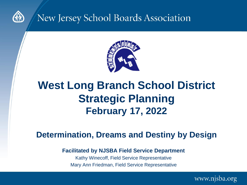

#### New Jersey School Boards Association



#### **West Long Branch School District Strategic Planning February 17, 2022**

#### **Determination, Dreams and Destiny by Design**

#### **Facilitated by NJSBA Field Service Department**

Kathy Winecoff, Field Service Representative Mary Ann Friedman, Field Service Representative

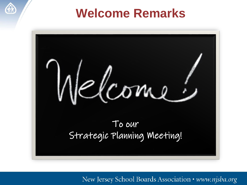

### **Welcome Remarks**

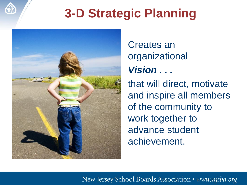# **3-D Strategic Planning**



#### Creates an organizational *Vision . . .*

that will direct, motivate and inspire all members of the community to work together to advance student achievement.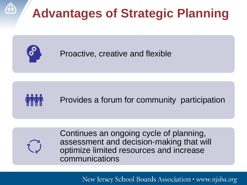



Proactive, creative and flexible





Continues an ongoing cycle of planning, assessment and decision-making that will optimize limited resources and increase communications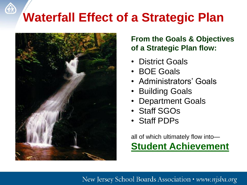# **Waterfall Effect of a Strategic Plan**



#### **From the Goals & Objectives of a Strategic Plan flow:**

- District Goals
- BOE Goals
- Administrators' Goals
- Building Goals
- Department Goals
- Staff SGOs
- Staff PDPs

all of which ultimately flow into— **Student Achievement**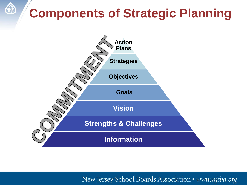# **Components of Strategic Planning**

**CAR** 

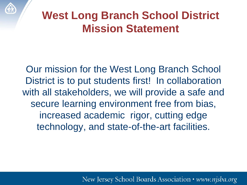

### **West Long Branch School District Mission Statement**

Our mission for the West Long Branch School District is to put students first! In collaboration with all stakeholders, we will provide a safe and secure learning environment free from bias, increased academic rigor, cutting edge technology, and state-of-the-art facilities.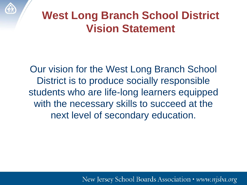

### **West Long Branch School District Vision Statement**

Our vision for the West Long Branch School District is to produce socially responsible students who are life-long learners equipped with the necessary skills to succeed at the next level of secondary education.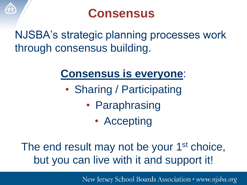

# **Consensus**

NJSBA's strategic planning processes work through consensus building.

## **Consensus is everyone**:

- Sharing / Participating
	- Paraphrasing
		- Accepting

### The end result may not be your 1<sup>st</sup> choice, but you can live with it and support it!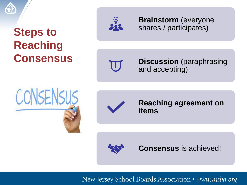

### **Steps to Reaching Consensus**



**Brainstorm** (everyone shares / participates)

W

**Discussion** (paraphrasing and accepting)





**Reaching agreement on items**



**Consensus** is achieved!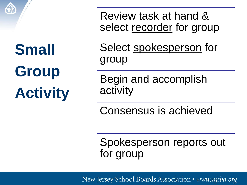

**Small Group Activity**

Review task at hand & select recorder for group

Select spokesperson for group

Begin and accomplish activity

Consensus is achieved

Spokesperson reports out for group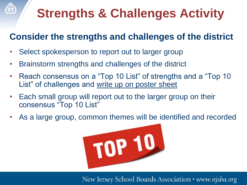# **Strengths & Challenges Activity**

#### **Consider the strengths and challenges of the district**

Select spokesperson to report out to larger group

**GIR** 

- Brainstorm strengths and challenges of the district
- Reach consensus on a "Top 10 List" of strengths and a "Top 10 List" of challenges and write up on poster sheet
- Each small group will report out to the larger group on their consensus "Top 10 List"
- As a large group, common themes will be identified and recorded

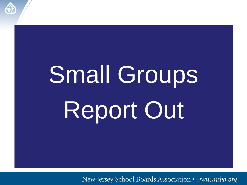

# Small Groups Report Out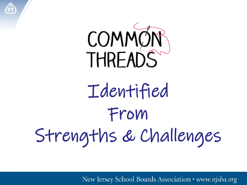

**AR** 

# Identified From Strengths & Challenges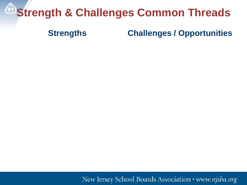# **Extrength & Challenges Common Threads**

#### **Strengths Challenges / Opportunities**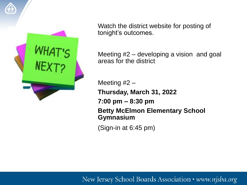

Watch the district website for posting of tonight's outcomes.

Meeting #2 – developing a vision and goal areas for the district

Meeting #2 – **Thursday, March 31, 2022 7:00 pm – 8:30 pm Betty McElmon Elementary School Gymnasium**

(Sign-in at 6:45 pm)